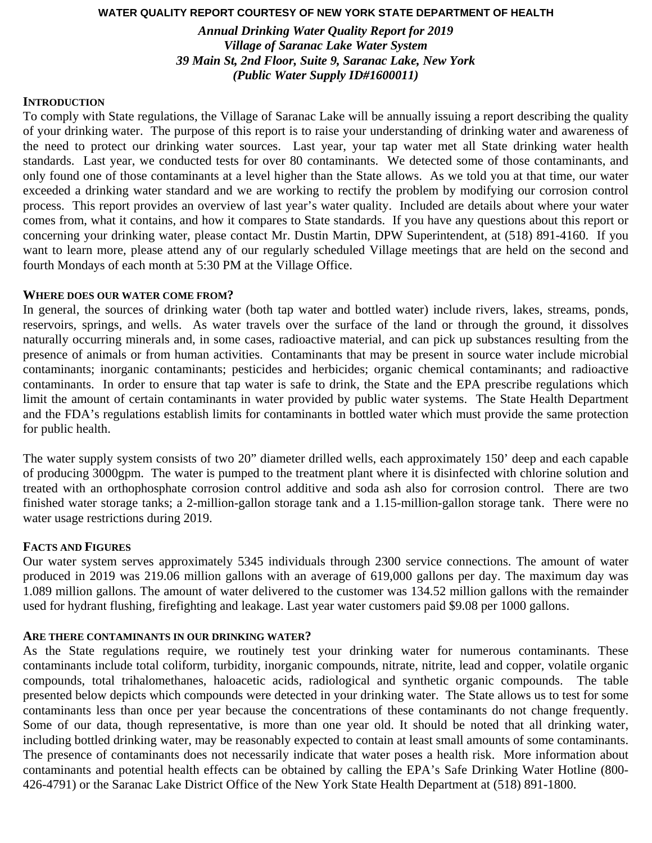# **WATER QUALITY REPORT COURTESY OF NEW YORK STATE DEPARTMENT OF HEALTH**

*Annual Drinking Water Quality Report for 2019 Village of Saranac Lake Water System 39 Main St, 2nd Floor, Suite 9, Saranac Lake, New York (Public Water Supply ID#1600011)* 

## **INTRODUCTION**

To comply with State regulations, the Village of Saranac Lake will be annually issuing a report describing the quality of your drinking water. The purpose of this report is to raise your understanding of drinking water and awareness of the need to protect our drinking water sources. Last year, your tap water met all State drinking water health standards. Last year, we conducted tests for over 80 contaminants. We detected some of those contaminants, and only found one of those contaminants at a level higher than the State allows. As we told you at that time, our water exceeded a drinking water standard and we are working to rectify the problem by modifying our corrosion control process. This report provides an overview of last year's water quality. Included are details about where your water comes from, what it contains, and how it compares to State standards. If you have any questions about this report or concerning your drinking water, please contact Mr. Dustin Martin, DPW Superintendent, at (518) 891-4160. If you want to learn more, please attend any of our regularly scheduled Village meetings that are held on the second and fourth Mondays of each month at 5:30 PM at the Village Office.

## **WHERE DOES OUR WATER COME FROM?**

In general, the sources of drinking water (both tap water and bottled water) include rivers, lakes, streams, ponds, reservoirs, springs, and wells. As water travels over the surface of the land or through the ground, it dissolves naturally occurring minerals and, in some cases, radioactive material, and can pick up substances resulting from the presence of animals or from human activities. Contaminants that may be present in source water include microbial contaminants; inorganic contaminants; pesticides and herbicides; organic chemical contaminants; and radioactive contaminants. In order to ensure that tap water is safe to drink, the State and the EPA prescribe regulations which limit the amount of certain contaminants in water provided by public water systems. The State Health Department and the FDA's regulations establish limits for contaminants in bottled water which must provide the same protection for public health.

The water supply system consists of two 20" diameter drilled wells, each approximately 150' deep and each capable of producing 3000gpm. The water is pumped to the treatment plant where it is disinfected with chlorine solution and treated with an orthophosphate corrosion control additive and soda ash also for corrosion control. There are two finished water storage tanks; a 2-million-gallon storage tank and a 1.15-million-gallon storage tank. There were no water usage restrictions during 2019.

## **FACTS AND FIGURES**

Our water system serves approximately 5345 individuals through 2300 service connections. The amount of water produced in 2019 was 219.06 million gallons with an average of 619,000 gallons per day. The maximum day was 1.089 million gallons. The amount of water delivered to the customer was 134.52 million gallons with the remainder used for hydrant flushing, firefighting and leakage. Last year water customers paid \$9.08 per 1000 gallons.

## **ARE THERE CONTAMINANTS IN OUR DRINKING WATER?**

As the State regulations require, we routinely test your drinking water for numerous contaminants. These contaminants include total coliform, turbidity, inorganic compounds, nitrate, nitrite, lead and copper, volatile organic compounds, total trihalomethanes, haloacetic acids, radiological and synthetic organic compounds. The table presented below depicts which compounds were detected in your drinking water. The State allows us to test for some contaminants less than once per year because the concentrations of these contaminants do not change frequently. Some of our data, though representative, is more than one year old. It should be noted that all drinking water, including bottled drinking water, may be reasonably expected to contain at least small amounts of some contaminants. The presence of contaminants does not necessarily indicate that water poses a health risk. More information about contaminants and potential health effects can be obtained by calling the EPA's Safe Drinking Water Hotline (800- 426-4791) or the Saranac Lake District Office of the New York State Health Department at (518) 891-1800.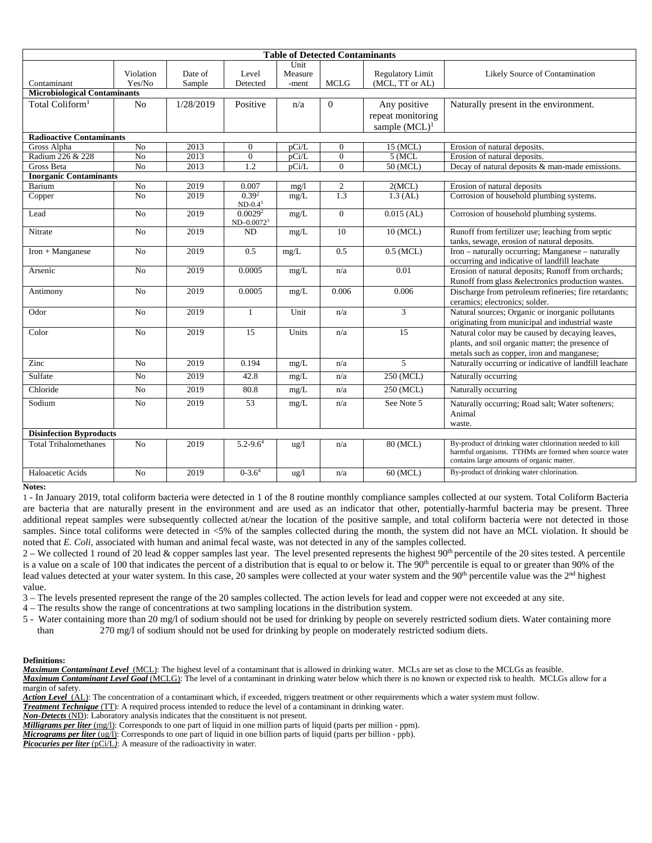| <b>Table of Detected Contaminants</b> |                     |                   |                                      |                          |                |                                                       |                                                                                                                                                                |
|---------------------------------------|---------------------|-------------------|--------------------------------------|--------------------------|----------------|-------------------------------------------------------|----------------------------------------------------------------------------------------------------------------------------------------------------------------|
| Contaminant                           | Violation<br>Yes/No | Date of<br>Sample | Level<br>Detected                    | Unit<br>Measure<br>-ment | <b>MCLG</b>    | <b>Regulatory Limit</b><br>(MCL, TT or AL)            | Likely Source of Contamination                                                                                                                                 |
| <b>Microbiological Contaminants</b>   |                     |                   |                                      |                          |                |                                                       |                                                                                                                                                                |
| Total Coliform <sup>1</sup>           | N <sub>o</sub>      | 1/28/2019         | Positive                             | n/a                      | $\theta$       | Any positive<br>repeat monitoring<br>sample $(MCL)^1$ | Naturally present in the environment.                                                                                                                          |
| <b>Radioactive Contaminants</b>       |                     |                   |                                      |                          |                |                                                       |                                                                                                                                                                |
| Gross Alpha                           | N <sub>0</sub>      | 2013              | $\mathbf{0}$                         | pCi/L                    | $\Omega$       | 15 (MCL)                                              | Erosion of natural deposits.                                                                                                                                   |
| Radium 226 & 228                      | No                  | 2013              | $\boldsymbol{0}$                     | pCi/L                    | $\mathbf{0}$   | 5 (MCL)                                               | Erosion of natural deposits.                                                                                                                                   |
| <b>Gross Beta</b>                     | $\overline{No}$     | 2013              | 1.2                                  | $\overline{pCi/L}$       | $\overline{0}$ | $50$ (MCL)                                            | Decay of natural deposits & man-made emissions.                                                                                                                |
| <b>Inorganic Contaminants</b>         |                     |                   |                                      |                          |                |                                                       |                                                                                                                                                                |
| Barium                                | No                  | 2019              | 0.007                                | mg/1                     | $\overline{c}$ | 2(MCL)                                                | Erosion of natural deposits                                                                                                                                    |
| Copper                                | $\overline{No}$     | 2019              | 0.39 <sup>2</sup><br>$ND-0.43$       | mg/L                     | 1.3            | $1.3$ (AL)                                            | Corrosion of household plumbing systems.                                                                                                                       |
| Lead                                  | N <sub>o</sub>      | 2019              | 0.0029 <sup>2</sup><br>$ND-0.0072^3$ | mg/L                     | $\overline{0}$ | $0.015$ (AL)                                          | Corrosion of household plumbing systems.                                                                                                                       |
| Nitrate                               | N <sub>0</sub>      | 2019              | <b>ND</b>                            | mg/L                     | 10             | 10 (MCL)                                              | Runoff from fertilizer use; leaching from septic<br>tanks, sewage, erosion of natural deposits.                                                                |
| Iron + Manganese                      | N <sub>o</sub>      | 2019              | 0.5                                  | mg/L                     | 0.5            | $0.5$ (MCL)                                           | Iron - naturally occurring; Manganese - naturally<br>occurring and indicative of landfill leachate                                                             |
| Arsenic                               | N <sub>o</sub>      | 2019              | 0.0005                               | mg/L                     | n/a            | 0.01                                                  | Erosion of natural deposits; Runoff from orchards;<br>Runoff from glass &electronics production wastes.                                                        |
| Antimony                              | N <sub>o</sub>      | 2019              | 0.0005                               | mg/L                     | 0.006          | 0.006                                                 | Discharge from petroleum refineries; fire retardants;<br>ceramics: electronics: solder.                                                                        |
| Odor                                  | N <sub>0</sub>      | 2019              | $\mathbf{1}$                         | Unit                     | n/a            | 3                                                     | Natural sources; Organic or inorganic pollutants<br>originating from municipal and industrial waste                                                            |
| Color                                 | N <sub>o</sub>      | 2019              | 15                                   | Units                    | n/a            | 15                                                    | Natural color may be caused by decaying leaves,<br>plants, and soil organic matter; the presence of<br>metals such as copper, iron and manganese;              |
| Zinc                                  | N <sub>0</sub>      | 2019              | 0.194                                | mg/L                     | n/a            | 5                                                     | Naturally occurring or indicative of landfill leachate                                                                                                         |
| Sulfate                               | N <sub>0</sub>      | 2019              | 42.8                                 | mg/L                     | n/a            | 250 (MCL)                                             | Naturally occurring                                                                                                                                            |
| Chloride                              | N <sub>o</sub>      | 2019              | 80.8                                 | mg/L                     | n/a            | 250 (MCL)                                             | Naturally occurring                                                                                                                                            |
| Sodium                                | N <sub>o</sub>      | 2019              | 53                                   | mg/L                     | n/a            | See Note 5                                            | Naturally occurring; Road salt; Water softeners;<br>Animal<br>waste.                                                                                           |
| <b>Disinfection Byproducts</b>        |                     |                   |                                      |                          |                |                                                       |                                                                                                                                                                |
| <b>Total Trihalomethanes</b>          | N <sub>o</sub>      | 2019              | $5.2 - 9.64$                         | $\frac{u g}{l}$          | n/a            | 80 (MCL)                                              | By-product of drinking water chlorination needed to kill<br>harmful organisms. TTHMs are formed when source water<br>contains large amounts of organic matter. |
| Haloacetic Acids                      | N <sub>0</sub>      | 2019              | $0 - 3.64$                           | $\frac{u g}{l}$          | n/a            | 60 (MCL)                                              | By-product of drinking water chlorination.                                                                                                                     |

**Notes:** 

1 - In January 2019, total coliform bacteria were detected in 1 of the 8 routine monthly compliance samples collected at our system. Total Coliform Bacteria are bacteria that are naturally present in the environment and are used as an indicator that other, potentially-harmful bacteria may be present. Three additional repeat samples were subsequently collected at/near the location of the positive sample, and total coliform bacteria were not detected in those samples. Since total coliforms were detected in <5% of the samples collected during the month, the system did not have an MCL violation. It should be noted that *E. Coli*, associated with human and animal fecal waste, was not detected in any of the samples collected.

2 – We collected 1 round of 20 lead & copper samples last year. The level presented represents the highest  $90<sup>th</sup>$  percentile of the 20 sites tested. A percentile is a value on a scale of 100 that indicates the percent of a distribution that is equal to or below it. The  $90<sup>th</sup>$  percentile is equal to or greater than 90% of the lead values detected at your water system. In this case, 20 samples were collected at your water system and the  $90<sup>th</sup>$  percentile value was the  $2<sup>nd</sup>$  highest value.

3 – The levels presented represent the range of the 20 samples collected. The action levels for lead and copper were not exceeded at any site.

4 – The results show the range of concentrations at two sampling locations in the distribution system.

5 - Water containing more than 20 mg/l of sodium should not be used for drinking by people on severely restricted sodium diets. Water containing more than 270 mg/l of sodium should not be used for drinking by people on moderately restricted sodium diets.

#### **Definitions:**

*Maximum Contaminant Level*(MCL): The highest level of a contaminant that is allowed in drinking water. MCLs are set as close to the MCLGs as feasible. *Maximum Contaminant Level Goal* (MCLG): The level of a contaminant in drinking water below which there is no known or expected risk to health. MCLGs allow for a margin of safety.

*Action Level*(AL): The concentration of a contaminant which, if exceeded, triggers treatment or other requirements which a water system must follow.

*Treatment Technique* (TT): A required process intended to reduce the level of a contaminant in drinking water.

*Non-Detects* (ND): Laboratory analysis indicates that the constituent is not present.

*Milligrams per liter* (mg/l): Corresponds to one part of liquid in one million parts of liquid (parts per million - ppm).

*Micrograms per liter* (ug/l): Corresponds to one part of liquid in one billion parts of liquid (parts per billion - ppb).

**Picocuries per liter** (pCi/L): A measure of the radioactivity in water.